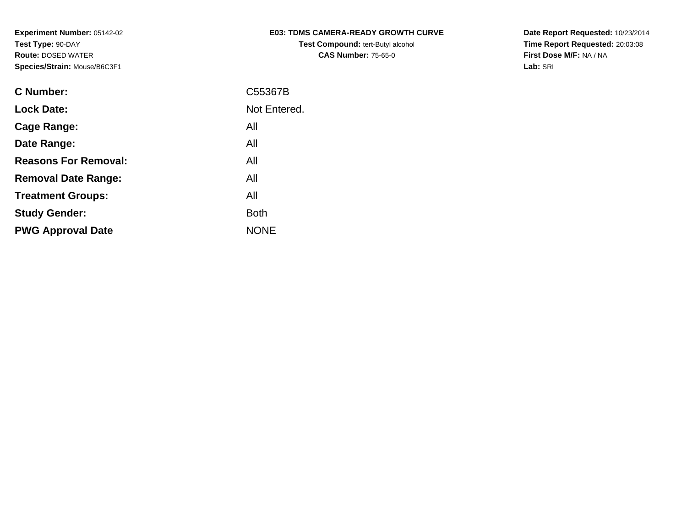| <b>E03: TDMS CAMERA-READY GROWTH CURVE</b> |
|--------------------------------------------|
| <b>Test Compound: tert-Butyl alcohol</b>   |
| <b>CAS Number: 75-65-0</b>                 |

**Date Report Requested:** 10/23/2014 **Time Report Requested:** 20:03:08**First Dose M/F:** NA / NA**Lab:** SRI

| <b>C Number:</b>            | C55367B      |
|-----------------------------|--------------|
| <b>Lock Date:</b>           | Not Entered. |
| <b>Cage Range:</b>          | All          |
| Date Range:                 | All          |
| <b>Reasons For Removal:</b> | All          |
| <b>Removal Date Range:</b>  | All          |
| <b>Treatment Groups:</b>    | All          |
| <b>Study Gender:</b>        | <b>Both</b>  |
| <b>PWG Approval Date</b>    | <b>NONE</b>  |
|                             |              |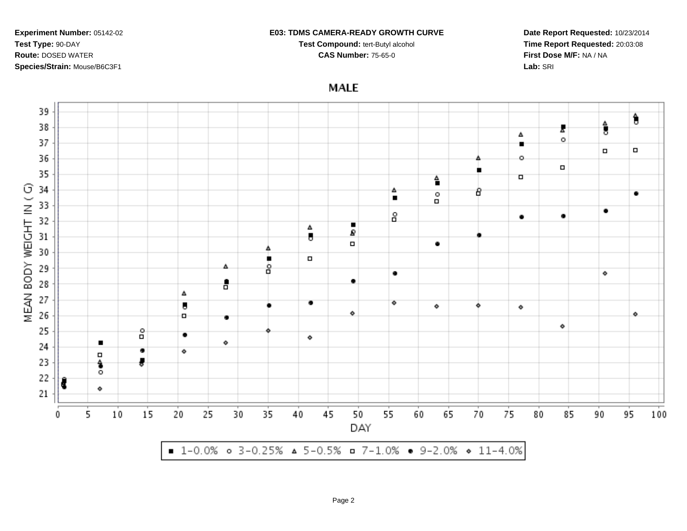#### **E03: TDMS CAMERA-READY GROWTH CURVE**

**Test Compound:** tert-Butyl alcohol **CAS Number:** 75-65-0

**Date Report Requested:** 10/23/2014**Time Report Requested:** 20:03:08**First Dose M/F:** NA / NA**Lab:** SRI

**MALE** 

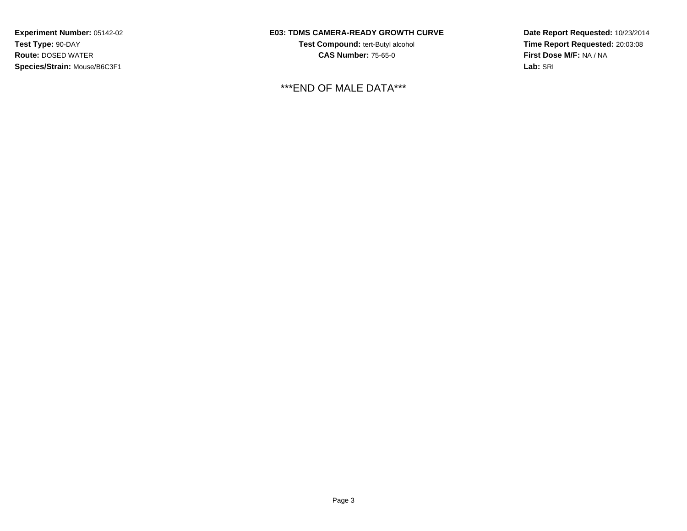## **E03: TDMS CAMERA-READY GROWTH CURVE**

**Test Compound:** tert-Butyl alcohol **CAS Number:** 75-65-0

\*\*\*END OF MALE DATA\*\*\*

**Date Report Requested:** 10/23/2014**Time Report Requested:** 20:03:08**First Dose M/F:** NA / NA**Lab:** SRI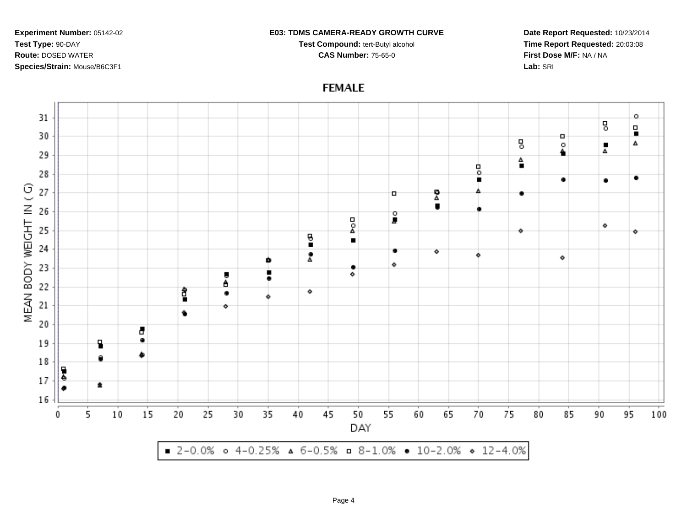#### **E03: TDMS CAMERA-READY GROWTH CURVE**

**Test Compound:** tert-Butyl alcohol **CAS Number:** 75-65-0

**Date Report Requested:** 10/23/2014**Time Report Requested:** 20:03:08**First Dose M/F:** NA / NA**Lab:** SRI

# **FEMALE**